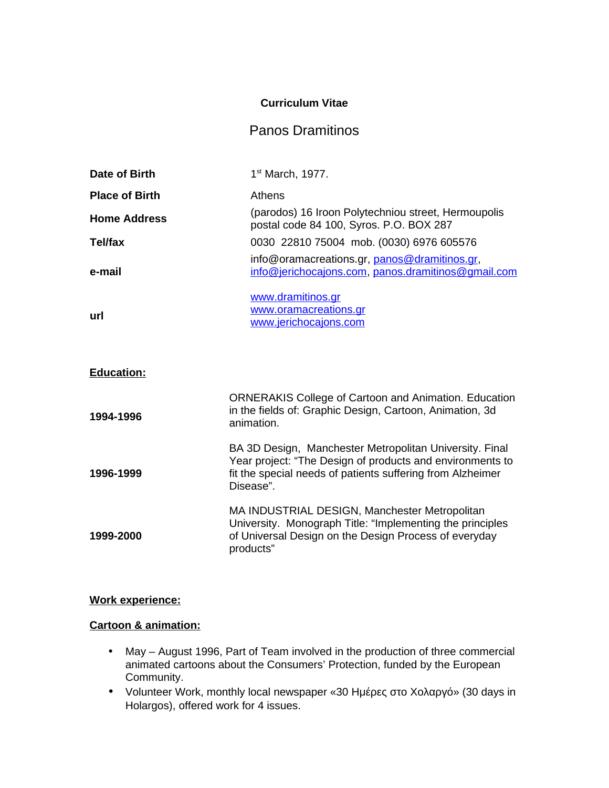### **Curriculum Vitae**

# Panos Dramitinos

| Date of Birth         | 1st March, 1977.                                                                                                                                                                                |
|-----------------------|-------------------------------------------------------------------------------------------------------------------------------------------------------------------------------------------------|
| <b>Place of Birth</b> | <b>Athens</b>                                                                                                                                                                                   |
| <b>Home Address</b>   | (parodos) 16 Iroon Polytechniou street, Hermoupolis<br>postal code 84 100, Syros. P.O. BOX 287                                                                                                  |
| <b>Tel/fax</b>        | 0030 22810 75004 mob. (0030) 6976 605576                                                                                                                                                        |
| e-mail                | info@oramacreations.gr, panos@dramitinos.gr,<br>info@jerichocajons.com, panos.dramitinos@gmail.com                                                                                              |
| url                   | www.dramitinos.gr<br>www.oramacreations.gr<br>www.jerichocajons.com                                                                                                                             |
| <b>Education:</b>     |                                                                                                                                                                                                 |
| 1994-1996             | <b>ORNERAKIS College of Cartoon and Animation. Education</b><br>in the fields of: Graphic Design, Cartoon, Animation, 3d<br>animation.                                                          |
| 1996-1999             | BA 3D Design, Manchester Metropolitan University. Final<br>Year project: "The Design of products and environments to<br>fit the special needs of patients suffering from Alzheimer<br>Disease". |
| 1999-2000             | MA INDUSTRIAL DESIGN, Manchester Metropolitan<br>University. Monograph Title: "Implementing the principles<br>of Universal Design on the Design Process of everyday<br>products"                |

# **Work experience:**

# **Cartoon & animation:**

- May August 1996, Part of Team involved in the production of three commercial animated cartoons about the Consumers' Protection, funded by the European Community.
- Volunteer Work, monthly local newspaper «30 Ημέρες στο Χολαργό» (30 days in Holargos), offered work for 4 issues.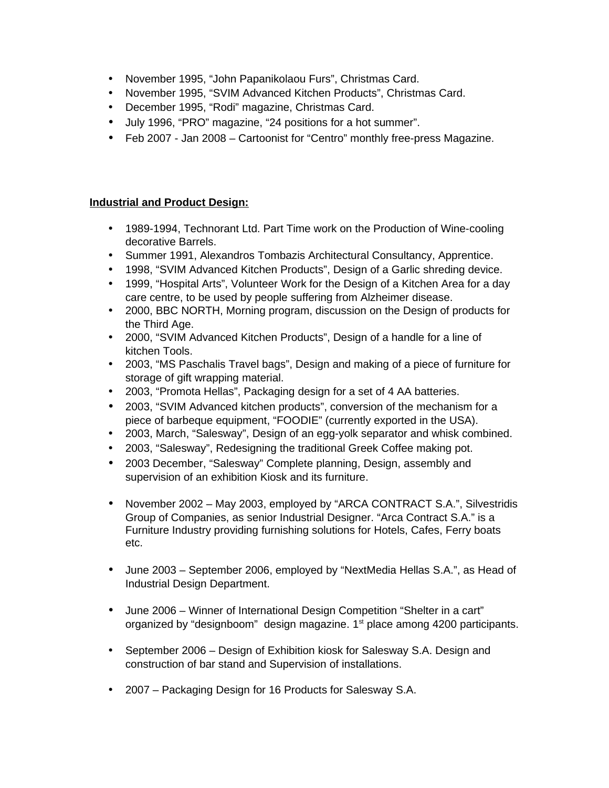- November 1995, "John Papanikolaou Furs", Christmas Card.
- November 1995, "SVIM Advanced Kitchen Products", Christmas Card.
- December 1995, "Rodi" magazine, Christmas Card.
- July 1996, "PRO" magazine, "24 positions for a hot summer".
- Feb 2007 Jan 2008 Cartoonist for "Centro" monthly free-press Magazine.

#### **Industrial and Product Design:**

- 1989-1994, Technorant Ltd. Part Time work on the Production of Wine-cooling decorative Barrels.
- Summer 1991, Alexandros Tombazis Architectural Consultancy, Apprentice.
- 1998, "SVIM Advanced Kitchen Products", Design of a Garlic shreding device.
- 1999, "Hospital Arts", Volunteer Work for the Design of a Kitchen Area for a day care centre, to be used by people suffering from Alzheimer disease.
- 2000, BBC NORTH, Morning program, discussion on the Design of products for the Third Age.
- 2000, "SVIM Advanced Kitchen Products", Design of a handle for a line of kitchen Tools.
- 2003, "MS Paschalis Travel bags", Design and making of a piece of furniture for storage of gift wrapping material.
- 2003, "Promota Hellas", Packaging design for a set of 4 AA batteries.
- 2003, "SVIM Advanced kitchen products", conversion of the mechanism for a piece of barbeque equipment, "FOODIE" (currently exported in the USA).
- 2003, March, "Salesway", Design of an egg-yolk separator and whisk combined.
- 2003, "Salesway", Redesigning the traditional Greek Coffee making pot.
- 2003 December, "Salesway" Complete planning, Design, assembly and supervision of an exhibition Kiosk and its furniture.
- November 2002 May 2003, employed by "ARCA CONTRACT S.A.", Silvestridis Group of Companies, as senior Industrial Designer. "Arca Contract S.A." is a Furniture Industry providing furnishing solutions for Hotels, Cafes, Ferry boats etc.
- June 2003 September 2006, employed by "NextMedia Hellas S.A.", as Head of Industrial Design Department.
- June 2006 Winner of International Design Competition "Shelter in a cart" organized by "designboom" design magazine.  $1<sup>st</sup>$  place among 4200 participants.
- September 2006 Design of Exhibition kiosk for Salesway S.A. Design and construction of bar stand and Supervision of installations.
- 2007 Packaging Design for 16 Products for Salesway S.A.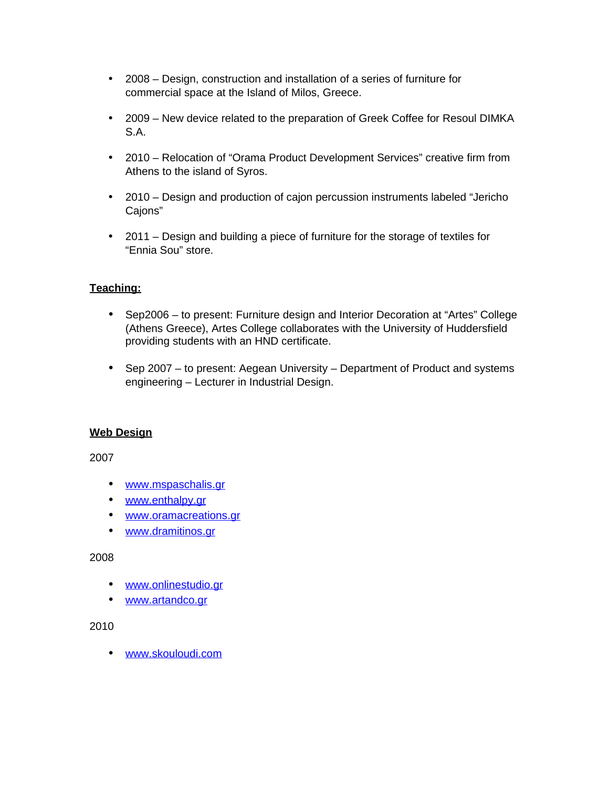- 2008 Design, construction and installation of a series of furniture for commercial space at the Island of Milos, Greece.
- 2009 New device related to the preparation of Greek Coffee for Resoul DIMKA S.A.
- 2010 Relocation of "Orama Product Development Services" creative firm from Athens to the island of Syros.
- 2010 Design and production of cajon percussion instruments labeled "Jericho Cajons"
- 2011 Design and building a piece of furniture for the storage of textiles for "Ennia Sou" store.

# **Teaching:**

- Sep2006 to present: Furniture design and Interior Decoration at "Artes" College (Athens Greece), Artes College collaborates with the University of Huddersfield providing students with an HND certificate.
- Sep 2007 to present: Aegean University Department of Product and systems engineering – Lecturer in Industrial Design.

### **Web Design**

2007

- • [www. mspaschalis. gr](http://www.mspaschalis.gr/)
- • [www.enthalpy.gr](http://www.enthalpy.gr/)
- • [www. oramacreations. gr](http://www.oramacreations.gr/)
- • [www. dramitinos. gr](http://www.dramitinos.gr/)

2008

- • [www.onlinestudio.gr](http://www.onlinestudio.gr/)
- • [www.artandco.gr](http://www.artandco.gr/)

2010

• [www.skouloudi.com](http://www.skouloudi.com/)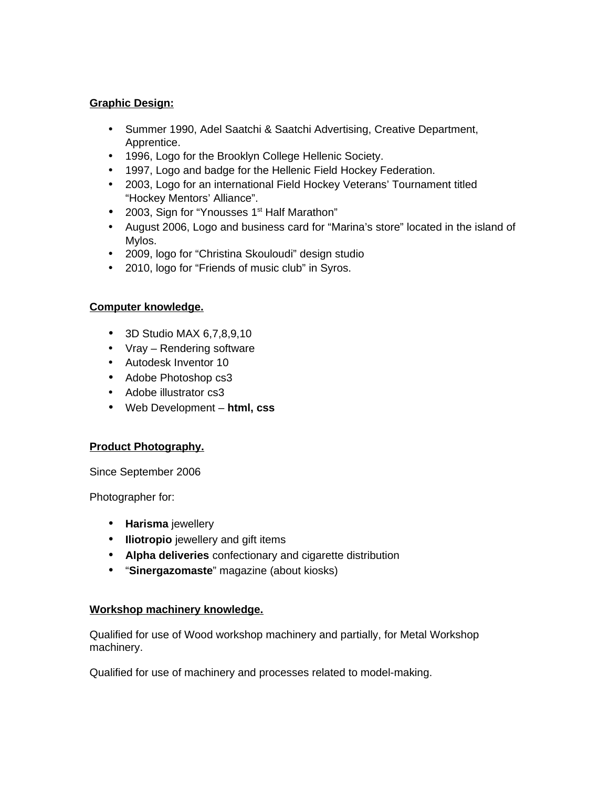### **Graphic Design:**

- Summer 1990, Adel Saatchi & Saatchi Advertising, Creative Department, Apprentice.
- 1996, Logo for the Brooklyn College Hellenic Society.
- 1997, Logo and badge for the Hellenic Field Hockey Federation.
- 2003, Logo for an international Field Hockey Veterans' Tournament titled "Hockey Mentors' Alliance".
- 2003, Sign for "Ynousses  $1<sup>st</sup>$  Half Marathon"
- August 2006, Logo and business card for "Marina's store" located in the island of Mylos.
- 2009, logo for "Christina Skouloudi" design studio
- 2010, logo for "Friends of music club" in Syros.

# **Computer knowledge.**

- 3D Studio MAX 6,7,8,9,10
- Vray Rendering software
- Autodesk Inventor 10
- Adobe Photoshop cs3
- Adobe illustrator cs3
- Web Development **html, css**

# **Product Photography.**

Since September 2006

Photographer for:

- **Harisma** jewellery
- **Iliotropio** jewellery and gift items
- **Alpha deliveries** confectionary and cigarette distribution
- "**Sinergazomaste**" magazine (about kiosks)

# **Workshop machinery knowledge.**

Qualified for use of Wood workshop machinery and partially, for Metal Workshop machinery.

Qualified for use of machinery and processes related to model-making.